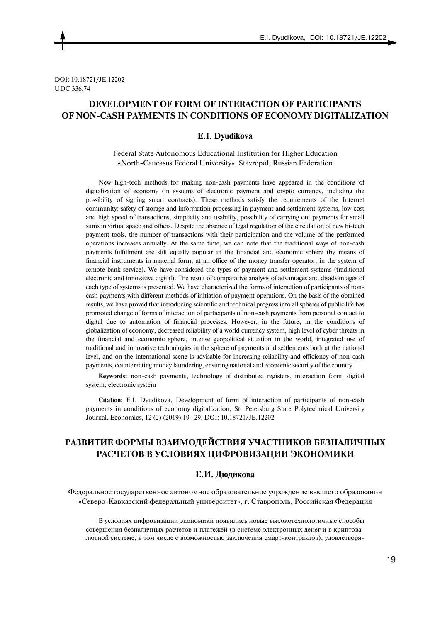DOI: 10.18721/JE.12202 UDC 336.74

## **DEVELOPMENT OF FORM OF INTERACTION OF PARTICIPANTS OF NON-CASH PAYMENTS IN CONDITIONS OF ECONOMY DIGITALIZATION**

### **E.I. Dyudikova**

Federal State Autonomous Educational Institution for Higher Education «North-Caucasus Federal University», Stavropol, Russian Federation

New high-tech methods for making non-cash payments have appeared in the conditions of digitalization of economy (in systems of electronic payment and crypto currency, including the possibility of signing smart contracts). These methods satisfy the requirements of the Internet community: safety of storage and information processing in payment and settlement systems, low cost and high speed of transactions, simplicity and usability, possibility of carrying out payments for small sums in virtual space and others. Despite the absence of legal regulation of the circulation of new hi-tech payment tools, the number of transactions with their participation and the volume of the performed operations increases annually. At the same time, we can note that the traditional ways of non-cash payments fulfillment are still equally popular in the financial and economic sphere (by means of financial instruments in material form, at an office of the money transfer operator, in the system of remote bank service). We have considered the types of payment and settlement systems (traditional electronic and innovative digital). The result of comparative analysis of advantages and disadvantages of each type of systems is presented. We have characterized the forms of interaction of participants of noncash payments with different methods of initiation of payment operations. On the basis of the obtained results, we have proved that introducing scientific and technical progress into all spheres of public life has promoted change of forms of interaction of participants of non-cash payments from personal contact to digital due to automation of financial processes. However, in the future, in the conditions of globalization of economy, decreased reliability of a world currency system, high level of cyber threats in the financial and economic sphere, intense geopolitical situation in the world, integrated use of traditional and innovative technologies in the sphere of payments and settlements both at the national level, and on the international scene is advisable for increasing reliability and efficiency of non-cash payments, counteracting money laundering, ensuring national and economic security of the country.

**Keywords:** non-cash payments, technology of distributed registers, interaction form, digital system, electronic system

**Citation:** E.I. Dyudikova, Development of form of interaction of participants of non-cash payments in conditions of economy digitalization, St. Petersburg State Polytechnical University Journal. Economics, 12 (2) (2019) 19–29. DOI: 10.18721/JE.12202

# **РАЗВИТИЕ ФОРМЫ ВЗАИМОДЕЙСТВИЯ УЧАСТНИКОВ БЕЗНАЛИЧНЫХ РАСЧЕТОВ В УСЛОВИЯХ ЦИФРОВИЗАЦИИ ЭКОНОМИКИ**

### **Е.И. Дюдикова**

Федеральное государственное автономное образовательное учреждение высшего образования «Северо-Кавказский федеральный университет», г. Ставрополь, Российская Федерация

В условиях цифровизации экономики появились новые высокотехнологичные способы совершения безналичных расчетов и платежей (в системе электронных денег и в криптовалютной системе, в том числе с возможностью заключения смарт-контрактов), удовлетворя-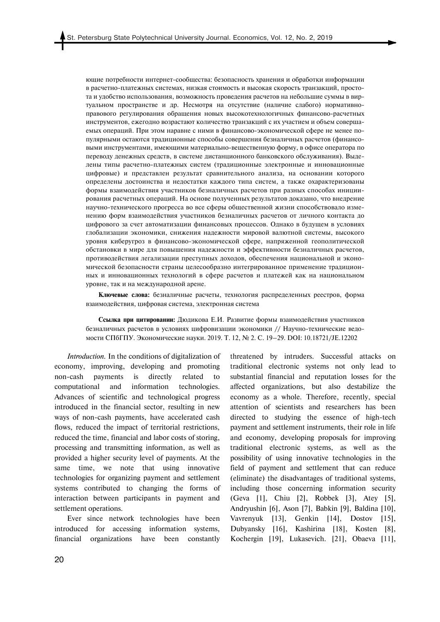ющие потребности интернет-сообщества: безопасность хранения и обработки информации в расчетно-платежных системах, низкая стоимость и высокая скорость транзакций, простота и удобство использования, возможность проведения расчетов на небольшие суммы в виртуальном пространстве и др. Несмотря на отсутствие (наличие слабого) нормативноправового регулирования обращения новых высокотехнологичных финансово-расчетных инструментов, ежегодно возрастают количество транзакций с их участием и объем совершаемых операций. При этом наравне с ними в финансово-экономической сфере не менее популярными остаются традиционные способы совершения безналичных расчетов (финансовыми инструментами, имеющими материально-вещественную форму, в офисе оператора по переводу денежных средств, в системе дистанционного банковского обслуживания). Выделены типы расчетно-платежных систем (традиционные электронные и инновационные цифровые) и представлен результат сравнительного анализа, на основании которого определены достоинства и недостатки каждого типа систем, а также охарактеризованы формы взаимодействия участников безналичных расчетов при разных способах инициирования расчетных операций. На основе полученных результатов доказано, что внедрение научно-технического прогресса во все сферы общественной жизни способствовало изменению форм взаимодействия участников безналичных расчетов от личного контакта до цифрового за счет автоматизации финансовых процессов. Однако в будущем в условиях глобализации экономики, снижения надежности мировой валютной системы, высокого уровня киберугроз в финансово-экономической сфере, напряженной геополитической обстановки в мире для повышения надежности и эффективности безналичных расчетов, противодействия легализации преступных доходов, обеспечения национальной и экономической безопасности страны целесообразно интегрированное применение традиционных и инновационных технологий в сфере расчетов и платежей как на национальном уровне, так и на международной арене.

**Ключевые слова:** безналичные расчеты, технология распределенных реестров, форма взаимодействия, цифровая система, электронная система

**Ссылка при цитировании:** Дюдикова Е.И. Развитие формы взаимодействия участников безналичных расчетов в условиях цифровизации экономики // Научно-технические ведомости СПбГПУ. Экономические науки. 2019. Т. 12, № 2. С. 19–29. DOI: 10.18721/JE.12202

*Introduction.* In the conditions of digitalization of economy, improving, developing and promoting non-cash payments is directly related to computational and information technologies. Advances of scientific and technological progress introduced in the financial sector, resulting in new ways of non-cash payments, have accelerated cash flows, reduced the impact of territorial restrictions, reduced the time, financial and labor costs of storing, processing and transmitting information, as well as provided a higher security level of payments. At the same time, we note that using innovative technologies for organizing payment and settlement systems contributed to changing the forms of interaction between participants in payment and settlement operations.

Ever since network technologies have been introduced for accessing information systems, financial organizations have been constantly threatened by intruders. Successful attacks on traditional electronic systems not only lead to substantial financial and reputation losses for the affected organizations, but also destabilize the economy as a whole. Therefore, recently, special attention of scientists and researchers has been directed to studying the essence of high-tech payment and settlement instruments, their role in life and economy, developing proposals for improving traditional electronic systems, as well as the possibility of using innovative technologies in the field of payment and settlement that can reduce (eliminate) the disadvantages of traditional systems, including those concerning information security (Geva [1], Chiu [2], Robbek [3], Atey [5], Andryushin [6], Ason [7], Babkin [9], Baldina [10], Vavrenyuk [13], Genkin [14], Dostov [15], Dubyansky [16], Kashirina [18], Kosten [8], Kochergin [19], Lukasevich. [21], Obaeva [11],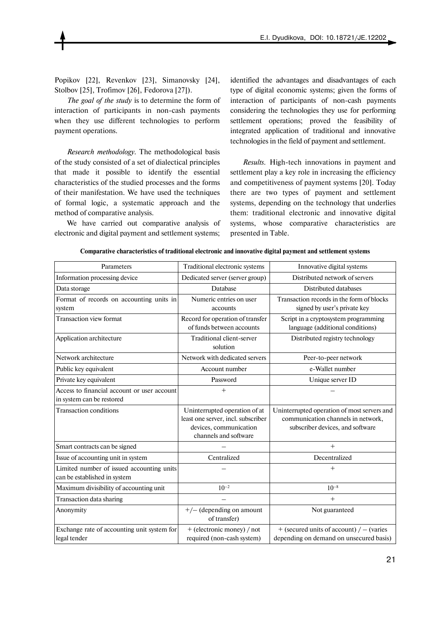Popikov [22], Revenkov [23], Simanovsky [24], Stolbov [25], Trofimov [26], Fedorova [27]).

*The goal of the study* is to determine the form of interaction of participants in non-cash payments when they use different technologies to perform payment operations.

*Research methodology.* The methodological basis of the study consisted of a set of dialectical principles that made it possible to identify the essential characteristics of the studied processes and the forms of their manifestation. We have used the techniques of formal logic, a systematic approach and the method of comparative analysis.

We have carried out comparative analysis of electronic and digital payment and settlement systems;

identified the advantages and disadvantages of each type of digital economic systems; given the forms of interaction of participants of non-cash payments considering the technologies they use for performing settlement operations; proved the feasibility of integrated application of traditional and innovative technologies in the field of payment and settlement.

*Results.* High-tech innovations in payment and settlement play a key role in increasing the efficiency and competitiveness of payment systems [20]. Today there are two types of payment and settlement systems, depending on the technology that underlies them: traditional electronic and innovative digital systems, whose comparative characteristics are presented in Table.

| Parameters                                                                | Traditional electronic systems                                                                                         | Innovative digital systems                                                                                            |
|---------------------------------------------------------------------------|------------------------------------------------------------------------------------------------------------------------|-----------------------------------------------------------------------------------------------------------------------|
| Information processing device                                             | Dedicated server (server group)                                                                                        | Distributed network of servers                                                                                        |
| Data storage                                                              | Database                                                                                                               | Distributed databases                                                                                                 |
| Format of records on accounting units in<br>system                        | Numeric entries on user<br>accounts                                                                                    | Transaction records in the form of blocks<br>signed by user's private key                                             |
| <b>Transaction view format</b>                                            | Record for operation of transfer<br>of funds between accounts                                                          | Script in a cryptosystem programming<br>language (additional conditions)                                              |
| Application architecture                                                  | Traditional client-server<br>solution                                                                                  | Distributed registry technology                                                                                       |
| Network architecture                                                      | Network with dedicated servers                                                                                         | Peer-to-peer network                                                                                                  |
| Public key equivalent                                                     | Account number                                                                                                         | e-Wallet number                                                                                                       |
| Private key equivalent                                                    | Password                                                                                                               | Unique server ID                                                                                                      |
| Access to financial account or user account<br>in system can be restored  | $^{+}$                                                                                                                 |                                                                                                                       |
| <b>Transaction conditions</b>                                             | Uninterrupted operation of at<br>least one server, incl. subscriber<br>devices, communication<br>channels and software | Uninterrupted operation of most servers and<br>communication channels in network,<br>subscriber devices, and software |
| Smart contracts can be signed                                             |                                                                                                                        | $^{+}$                                                                                                                |
| Issue of accounting unit in system                                        | Centralized                                                                                                            | Decentralized                                                                                                         |
| Limited number of issued accounting units<br>can be established in system |                                                                                                                        | $^{+}$                                                                                                                |
| Maximum divisibility of accounting unit                                   | $10^{-2}$                                                                                                              | $10^{-8}$                                                                                                             |
| <b>Transaction data sharing</b>                                           |                                                                                                                        | $+$                                                                                                                   |
| Anonymity                                                                 | $+/-$ (depending on amount<br>of transfer)                                                                             | Not guaranteed                                                                                                        |
| Exchange rate of accounting unit system for<br>legal tender               | + (electronic money) / not<br>required (non-cash system)                                                               | $+$ (secured units of account) / – (varies<br>depending on demand on unsecured basis)                                 |

**Comparative characteristics of traditional electronic and innovative digital payment and settlement systems**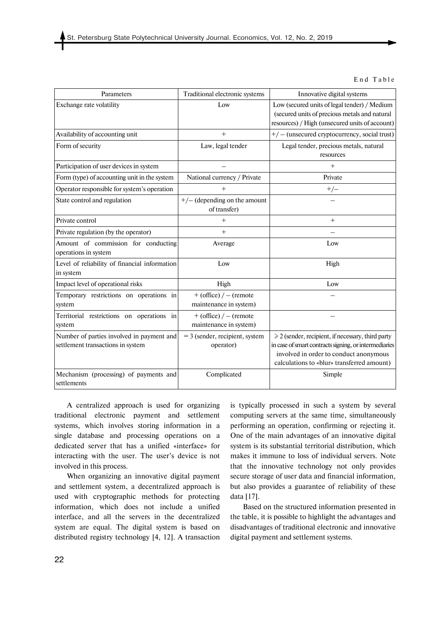End Table

| Parameters                                                                     | Traditional electronic systems                     | Innovative digital systems                                                                                                                                                                              |
|--------------------------------------------------------------------------------|----------------------------------------------------|---------------------------------------------------------------------------------------------------------------------------------------------------------------------------------------------------------|
| Exchange rate volatility                                                       | Low                                                | Low (secured units of legal tender) / Medium<br>(secured units of precious metals and natural<br>resources) / High (unsecured units of account)                                                         |
| Availability of accounting unit                                                | $^{+}$                                             | $+/-$ (unsecured cryptocurrency, social trust)                                                                                                                                                          |
| Form of security                                                               | Law, legal tender                                  | Legal tender, precious metals, natural<br>resources                                                                                                                                                     |
| Participation of user devices in system                                        |                                                    | $^{+}$                                                                                                                                                                                                  |
| Form (type) of accounting unit in the system                                   | National currency / Private                        | Private                                                                                                                                                                                                 |
| Operator responsible for system's operation                                    | $^{+}$                                             | $+/-$                                                                                                                                                                                                   |
| State control and regulation                                                   | $+/-$ (depending on the amount<br>of transfer)     |                                                                                                                                                                                                         |
| Private control                                                                | $^{+}$                                             | $+$                                                                                                                                                                                                     |
| Private regulation (by the operator)                                           | $^{+}$                                             |                                                                                                                                                                                                         |
| Amount of commission for conducting<br>operations in system                    | Average                                            | Low                                                                                                                                                                                                     |
| Level of reliability of financial information<br>in system                     | Low                                                | High                                                                                                                                                                                                    |
| Impact level of operational risks                                              | High                                               | Low                                                                                                                                                                                                     |
| Temporary restrictions on operations in<br>system                              | $+$ (office) / – (remote<br>maintenance in system) |                                                                                                                                                                                                         |
| Territorial restrictions on operations in<br>system                            | $+$ (office) / – (remote<br>maintenance in system) |                                                                                                                                                                                                         |
| Number of parties involved in payment and<br>settlement transactions in system | $=$ 3 (sender, recipient, system<br>operator)      | $\geq 2$ (sender, recipient, if necessary, third party<br>in case of smart contracts signing, or intermediaries<br>involved in order to conduct anonymous<br>calculations to «blur» transferred amount) |
| Mechanism (processing) of payments and<br>settlements                          | Complicated                                        | Simple                                                                                                                                                                                                  |

A centralized approach is used for organizing traditional electronic payment and settlement systems, which involves storing information in a single database and processing operations on a dedicated server that has a unified «interface» for interacting with the user. The user's device is not involved in this process.

When organizing an innovative digital payment and settlement system, a decentralized approach is used with cryptographic methods for protecting information, which does not include a unified interface, and all the servers in the decentralized system are equal. The digital system is based on distributed registry technology [4, 12]. A transaction is typically processed in such a system by several computing servers at the same time, simultaneously performing an operation, confirming or rejecting it. One of the main advantages of an innovative digital system is its substantial territorial distribution, which makes it immune to loss of individual servers. Note that the innovative technology not only provides secure storage of user data and financial information, but also provides a guarantee of reliability of these data [17].

Based on the structured information presented in the table, it is possible to highlight the advantages and disadvantages of traditional electronic and innovative digital payment and settlement systems.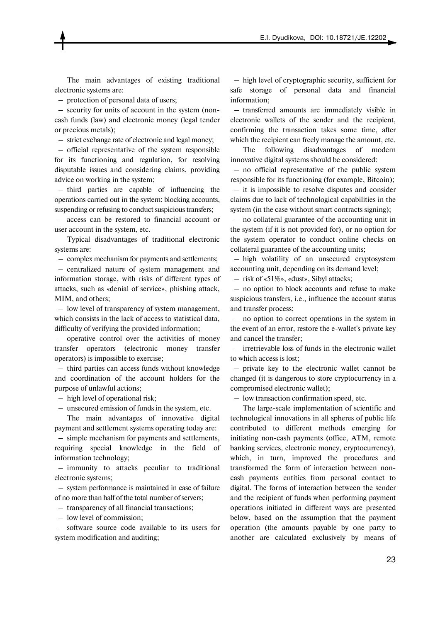The main advantages of existing traditional electronic systems are:

– protection of personal data of users;

 – security for units of account in the system (noncash funds (law) and electronic money (legal tender or precious metals);

– strict exchange rate of electronic and legal money;

 – official representative of the system responsible for its functioning and regulation, for resolving disputable issues and considering claims, providing advice on working in the system;

 – third parties are capable of influencing the operations carried out in the system: blocking accounts, suspending or refusing to conduct suspicious transfers;

 – access can be restored to financial account or user account in the system, etc.

Typical disadvantages of traditional electronic systems are:

– complex mechanism for payments and settlements;

 – centralized nature of system management and information storage, with risks of different types of attacks, such as «denial of service», phishing attack, MIM, and others;

 – low level of transparency of system management, which consists in the lack of access to statistical data, difficulty of verifying the provided information;

 – operative control over the activities of money transfer operators (electronic money transfer operators) is impossible to exercise;

 – third parties can access funds without knowledge and coordination of the account holders for the purpose of unlawful actions;

– high level of operational risk;

– unsecured emission of funds in the system, etc.

The main advantages of innovative digital payment and settlement systems operating today are:

 – simple mechanism for payments and settlements, requiring special knowledge in the field of information technology;

 – immunity to attacks peculiar to traditional electronic systems;

 – system performance is maintained in case of failure of no more than half of the total number of servers;

– transparency of all financial transactions;

– low level of commission;

 – software source code available to its users for system modification and auditing;

 – high level of cryptographic security, sufficient for safe storage of personal data and financial information;

 – transferred amounts are immediately visible in electronic wallets of the sender and the recipient, confirming the transaction takes some time, after which the recipient can freely manage the amount, etc.

The following disadvantages of modern innovative digital systems should be considered:

 – no official representative of the public system responsible for its functioning (for example, Bitcoin);

 – it is impossible to resolve disputes and consider claims due to lack of technological capabilities in the system (in the case without smart contracts signing);

 – no collateral guarantee of the accounting unit in the system (if it is not provided for), or no option for the system operator to conduct online checks on collateral guarantee of the accounting units;

 – high volatility of an unsecured cryptosystem accounting unit, depending on its demand level;

– risk of «51%», «dust», Sibyl attacks;

 – no option to block accounts and refuse to make suspicious transfers, i.e., influence the account status and transfer process;

 – no option to correct operations in the system in the event of an error, restore the e-wallet's private key and cancel the transfer;

 – irretrievable loss of funds in the electronic wallet to which access is lost;

 – private key to the electronic wallet cannot be changed (it is dangerous to store cryptocurrency in a compromised electronic wallet);

– low transaction confirmation speed, etc.

The large-scale implementation of scientific and technological innovations in all spheres of public life contributed to different methods emerging for initiating non-cash payments (office, ATM, remote banking services, electronic money, cryptocurrency), which, in turn, improved the procedures and transformed the form of interaction between noncash payments entities from personal contact to digital. The forms of interaction between the sender and the recipient of funds when performing payment operations initiated in different ways are presented below, based on the assumption that the payment operation (the amounts payable by one party to another are calculated exclusively by means of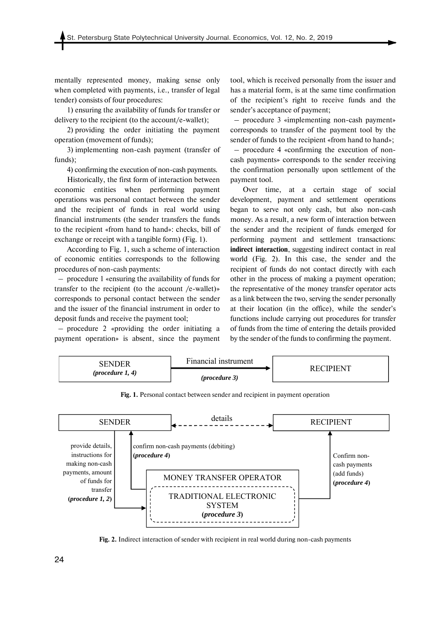mentally represented money, making sense only when completed with payments, i.e., transfer of legal tender) consists of four procedures:

1) ensuring the availability of funds for transfer or delivery to the recipient (to the account/e-wallet);

2) providing the order initiating the payment operation (movement of funds);

3) implementing non-cash payment (transfer of funds);

4) confirming the execution of non-cash payments.

Historically, the first form of interaction between economic entities when performing payment operations was personal contact between the sender and the recipient of funds in real world using financial instruments (the sender transfers the funds to the recipient «from hand to hand»: checks, bill of exchange or receipt with a tangible form) (Fig. 1).

According to Fig. 1, such a scheme of interaction of economic entities corresponds to the following procedures of non-cash payments:

 – procedure 1 «ensuring the availability of funds for transfer to the recipient (to the account /e-wallet)» corresponds to personal contact between the sender and the issuer of the financial instrument in order to deposit funds and receive the payment tool;

 – procedure 2 «providing the order initiating a payment operation» is absent, since the payment tool, which is received personally from the issuer and has a material form, is at the same time confirmation of the recipient's right to receive funds and the sender's acceptance of payment;

 – procedure 3 «implementing non-cash payment» corresponds to transfer of the payment tool by the sender of funds to the recipient «from hand to hand»; – procedure 4 «confirming the execution of noncash payments» corresponds to the sender receiving the confirmation personally upon settlement of the payment tool.

Over time, at a certain stage of social development, payment and settlement operations began to serve not only cash, but also non-cash money. As a result, a new form of interaction between the sender and the recipient of funds emerged for performing payment and settlement transactions: **indirect interaction**, suggesting indirect contact in real world (Fig. 2). In this case, the sender and the recipient of funds do not contact directly with each other in the process of making a payment operation; the representative of the money transfer operator acts as a link between the two, serving the sender personally at their location (in the office), while the sender's functions include carrying out procedures for transfer of funds from the time of entering the details provided by the sender of the funds to confirming the payment.



**Fig. 1.** Personal contact between sender and recipient in payment operation



**Fig. 2.** Indirect interaction of sender with recipient in real world during non-cash payments

24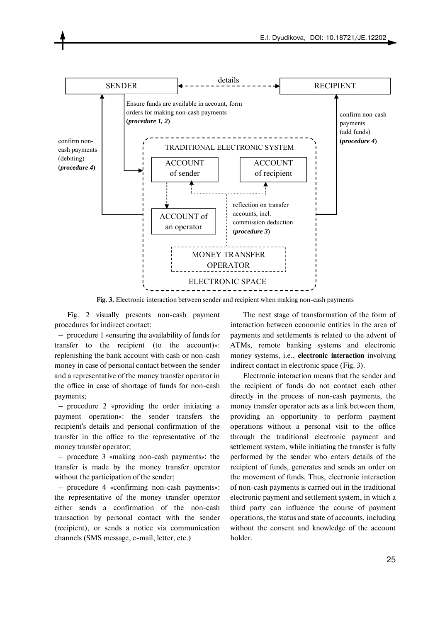

**Fig. 3.** Electronic interaction between sender and recipient when making non-cash payments

Fig. 2 visually presents non-cash payment procedures for indirect contact:

 – procedure 1 «ensuring the availability of funds for transfer to the recipient (to the account)»: replenishing the bank account with cash or non-cash money in case of personal contact between the sender and a representative of the money transfer operator in the office in case of shortage of funds for non-cash payments;

 – procedure 2 «providing the order initiating a payment operation»: the sender transfers the recipient's details and personal confirmation of the transfer in the office to the representative of the money transfer operator;

 – procedure 3 «making non-cash payments»: the transfer is made by the money transfer operator without the participation of the sender;

 – procedure 4 «confirming non-cash payments»: the representative of the money transfer operator either sends a confirmation of the non-cash transaction by personal contact with the sender (recipient), or sends a notice via communication channels (SMS message, e-mail, letter, etc.)

The next stage of transformation of the form of interaction between economic entities in the area of payments and settlements is related to the advent of ATMs, remote banking systems and electronic money systems, i.e., **electronic interaction** involving indirect contact in electronic space (Fig. 3).

Electronic interaction means that the sender and the recipient of funds do not contact each other directly in the process of non-cash payments, the money transfer operator acts as a link between them, providing an opportunity to perform payment operations without a personal visit to the office through the traditional electronic payment and settlement system, while initiating the transfer is fully performed by the sender who enters details of the recipient of funds, generates and sends an order on the movement of funds. Thus, electronic interaction of non-cash payments is carried out in the traditional electronic payment and settlement system, in which a third party can influence the course of payment operations, the status and state of accounts, including without the consent and knowledge of the account holder.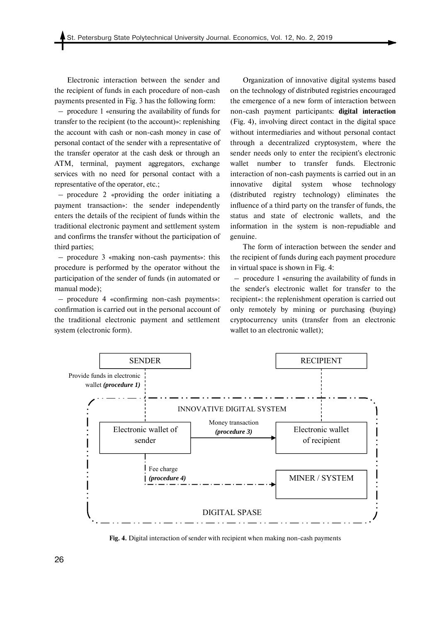Electronic interaction between the sender and the recipient of funds in each procedure of non-cash payments presented in Fig. 3 has the following form:

 – procedure 1 «ensuring the availability of funds for transfer to the recipient (to the account)»: replenishing the account with cash or non-cash money in case of personal contact of the sender with a representative of the transfer operator at the cash desk or through an ATM, terminal, payment aggregators, exchange services with no need for personal contact with a representative of the operator, etc.;

 – procedure 2 «providing the order initiating a payment transaction»: the sender independently enters the details of the recipient of funds within the traditional electronic payment and settlement system and confirms the transfer without the participation of third parties;

 – procedure 3 «making non-cash payments»: this procedure is performed by the operator without the participation of the sender of funds (in automated or manual mode);

 – procedure 4 «confirming non-cash payments»: confirmation is carried out in the personal account of the traditional electronic payment and settlement system (electronic form).

Organization of innovative digital systems based on the technology of distributed registries encouraged the emergence of a new form of interaction between non-cash payment participants: **digital interaction**  (Fig. 4), involving direct contact in the digital space without intermediaries and without personal contact through a decentralized cryptosystem, where the sender needs only to enter the recipient's electronic wallet number to transfer funds. Electronic interaction of non-cash payments is carried out in an innovative digital system whose technology (distributed registry technology) eliminates the influence of a third party on the transfer of funds, the status and state of electronic wallets, and the information in the system is non-repudiable and genuine.

The form of interaction between the sender and the recipient of funds during each payment procedure in virtual space is shown in Fig. 4:

 – procedure 1 «ensuring the availability of funds in the sender's electronic wallet for transfer to the recipient»: the replenishment operation is carried out only remotely by mining or purchasing (buying) cryptocurrency units (transfer from an electronic wallet to an electronic wallet);



**Fig. 4.** Digital interaction of sender with recipient when making non-cash payments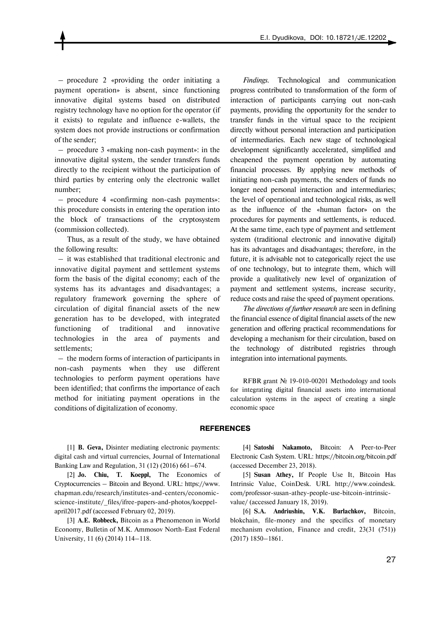– procedure 2 «providing the order initiating a payment operation» is absent, since functioning innovative digital systems based on distributed registry technology have no option for the operator (if it exists) to regulate and influence e-wallets, the system does not provide instructions or confirmation of the sender;

 – procedure 3 «making non-cash payment»: in the innovative digital system, the sender transfers funds directly to the recipient without the participation of third parties by entering only the electronic wallet number;

 – procedure 4 «confirming non-cash payments»: this procedure consists in entering the operation into the block of transactions of the cryptosystem (commission collected).

Thus, as a result of the study, we have obtained the following results:

 – it was established that traditional electronic and innovative digital payment and settlement systems form the basis of the digital economy; each of the systems has its advantages and disadvantages; a regulatory framework governing the sphere of circulation of digital financial assets of the new generation has to be developed, with integrated functioning of traditional and innovative technologies in the area of payments and settlements;

 – the modern forms of interaction of participants in non-cash payments when they use different technologies to perform payment operations have been identified; that confirms the importance of each method for initiating payment operations in the conditions of digitalization of economy.

*Findings.* Technological and communication progress contributed to transformation of the form of interaction of participants carrying out non-cash payments, providing the opportunity for the sender to transfer funds in the virtual space to the recipient directly without personal interaction and participation of intermediaries. Each new stage of technological development significantly accelerated, simplified and cheapened the payment operation by automating financial processes. By applying new methods of initiating non-cash payments, the senders of funds no longer need personal interaction and intermediaries; the level of operational and technological risks, as well as the influence of the «human factor» on the procedures for payments and settlements, is reduced. At the same time, each type of payment and settlement system (traditional electronic and innovative digital) has its advantages and disadvantages; therefore, in the future, it is advisable not to categorically reject the use of one technology, but to integrate them, which will provide a qualitatively new level of organization of payment and settlement systems, increase security, reduce costs and raise the speed of payment operations.

*The directions of further research* are seen in defining the financial essence of digital financial assets of the new generation and offering practical recommendations for developing a mechanism for their circulation, based on the technology of distributed registries through integration into international payments.

RFBR grant № 19-010-00201 Methodology and tools for integrating digital financial assets into international calculation systems in the aspect of creating a single economic space

#### **REFERENCES**

[1] **B. Geva,** Disinter mediating electronic payments: digital cash and virtual currencies, Journal of International Banking Law and Regulation, 31 (12) (2016) 661–674.

[2] **Jo. Chiu, T. Koeppl,** The Economics of Cryptocurrencies – Bitcoin and Beyond. URL: https://www. chapman.edu/research/institutes-and-centers/economicscience-institute/\_files/ifree-papers-and-photos/koeppelapril2017.pdf (accessed February 02, 2019).

[3] **А.Е. Robbeck,** Bitcoin as a Phenomenon in World Economy, Bulletin of M.K. Ammosov North-East Federal University, 11 (6) (2014) 114–118.

[4] **Satoshi Nakamoto,** Bitcoin: A Peer-to-Peer Electronic Cash System. URL: https://bitcoin.org/bitcoin.pdf (accessed December 23, 2018).

[5] **Susan Athey,** If People Use It, Bitcoin Has Intrinsic Value, CoinDesk. URL http://www.coindesk. com/professor-susan-athey-people-use-bitcoin-intrinsicvalue/ (accessed January 18, 2019).

[6] **S.A. Andriushin, V.K. Burlachkov,** Bitcoin, blokchain, file-money and the specifics of monetary mechanism evolution, Finance and credit, 23(31 (751)) (2017) 1850–1861.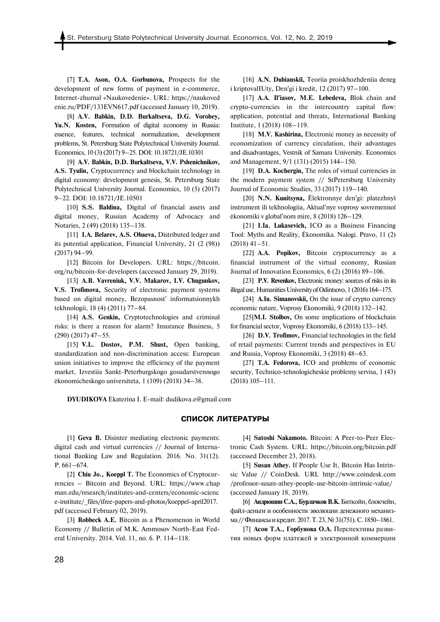[7] **T.A. Ason, O.A. Gorbunova,** Prospects for the development of new forms of payment in e-commerce, Internet-zhurnal «Naukovedenie». URL: https://naukoved enie.ru/PDF/133EVN617.pdf (accessed January 10, 2019).

[8] **A.V. Babkin, D.D. Burkaltseva, D.G. Vorobey, Yu.N. Kosten,** Formation of digital economy in Russia: essence, features, technical normalization, development problems, St. Petersburg State Polytechnical University Journal. Economics, 10 (3) (2017) 9–25. DOI: 10.18721/JE.10301

[9] **A.V. Babkin, D.D. Burkaltseva, V.V. Pshenichnikov, A.S. Tyulin,** Cryptocurrency and blockchain technology in digital economy: development genesis, St. Petersburg State Polytechnical University Journal. Economics, 10 (5) (2017) 9–22. DOI: 10.18721/JE.10501

[10] **S.S. Baldina,** Digital of financial assets and digital money, Russian Academy of Advocacy and Notaries, 2 (49) (2018) 135–138.

[11] **I.A. Belarev, A.S. Obaeva,** Distributed ledger and its potential application, Financial University, 21 (2 (98)) (2017) 94–99.

[12] Bitcoin for Developers. URL: https://bitcoin. org/ru/bitcoin-for-developers (accessed January 29, 2019).

[13] **A.B. Vavreniuk, V.V. Makarov, I.V. Chugunkov, V.S. Trofimova,** Security of electronic payment systems based on digital money, Bezopasnost' informatsionnykh tekhnologii, 18 (4) (2011) 77–84.

[14] **A.S. Genkin,** Cryptotechnologies and criminal risks: is there a reason for alarm? Insurance Business, 5 (290) (2017) 47–55.

[15] **V.L. Dostov, P.M. Shust,** Open banking, standardization and non-discrimination access: European union initiatives to improve the efficiency of the payment market, Izvestiia Sankt-Peterburgskogo gosudarstvennogo ėkonomicheskogo universiteta, 1 (109) (2018) 34–38.

[16] **A.N. Dubianskiĭ,** Teoriia proiskhozhdeniia deneg i kriptovalIUty, Denʹgi i kredit, 12 (2017) 97–100.

[17] **A.A. Ilʹiasov, M.E. Lebedeva,** Blok chain and crypto-currencies in the intercountry capital flow: application, potential and threats, International Banking Institute, 1 (2018) 108–119.

[18] **M.V. Kashirina,** Electronic money as necessity of economization of currency circulation, their advantages and disadvantages, Vestnik of Samara University. Economics and Management, 9/1 (131) (2015) 144–150.

[19] **D.A. Kochergin,** The roles of virtual currencies in the modern payment system // StPetersburg University Journal of Economic Studies, 33 (2017) 119–140.

[20] **N.N. Kunitsyna,** Ėlektronnye denʹgi: platezhnyĭ instrument ili tekhnologiia, Aktualʹnye voprosy sovremennoĭ ėkonomiki v globalʹnom mire, 8 (2018) 126–129.

[21] **I.Ia. Lukasevich,** ICO as a Business Financing Tool: Myths and Reality, Ėkonomika. Nalogi. Pravo, 11 (2) (2018) 41–51.

[22] **A.A. Popikov,** Bitcoin cryptocurrency as a financial instrument of the virtual economy, Russian Journal of Innovation Economics, 6 (2) (2016) 89–106.

[23] **P.V. Revenkov,** Electronic money: sources of risks in its illegal use, Humanities University of Odintsovo, 1 (2016) 164–175.

[24] **A.Iu. Simanovskii,** On the issue of crypto currency economic nature, Voprosy Ekonomiki, 9 (2018) 132–142.

[25]**M.I. Stolbov,** On some implications of blockchain for financial sector, Voprosy Ekonomiki, 6 (2018) 133–145.

[26] **D.V. Trofimov,** Financial technologies in the field of retail payments: Current trends and perspectives in EU and Russia, Voprosy Ekonomiki, 3 (2018) 48–63.

[27] **T.A. Fedorova,** ICO and problems of economic security, Technico-tehnologicheskie problemy servisa, 1 (43) (2018) 105–111.

**DYUDIKOVA** Ekaterina I. E-mail: dudikova.e@gmail.com

#### **СПИСОК ЛИТЕРАТУРЫ**

[1] **Geva B.** Disinter mediating electronic payments: digital cash and virtual currencies // Journal of International Banking Law and Regulation. 2016. No. 31(12). P. 661–674.

[2] **Chiu Jo., Koeppl T.** The Economics of Cryptocurrencies – Bitcoin and Beyond. URL: https://www.chap man.edu/research/institutes-and-centers/economic-scienc e-institute/\_files/ifree-papers-and-photos/koeppel-april2017. pdf (accessed February 02, 2019).

[3] **Robbeck А.Е.** Bitcoin as a Phenomenon in World Economy // Bulletin of M.K. Ammosov North-East Federal University. 2014. Vol. 11, no. 6. P. 114–118.

[4] **Satoshi Nakamoto.** Bitcoin: A Peer-to-Peer Electronic Cash System. URL: https://bitcoin.org/bitcoin.pdf (accessed December 23, 2018).

[5] **Susan Athey.** If People Use It, Bitcoin Has Intrinsic Value // CoinDesk. URL http://www.coindesk.com /professor-susan-athey-people-use-bitcoin-intrinsic-value/ (accessed January 18, 2019).

[6] **Андрюшин С.А., Бурлачков В.К.**Биткойн, блокчейн, файл-деньги и особенности эволюции денежного механизма // Финансы и кредит. 2017. Т. 23, № 31(751). С. 1850-1861.

[7] **Асон Т.А., Горбунова О.А.** Перспективы развития новых форм платежей в электронной коммерции